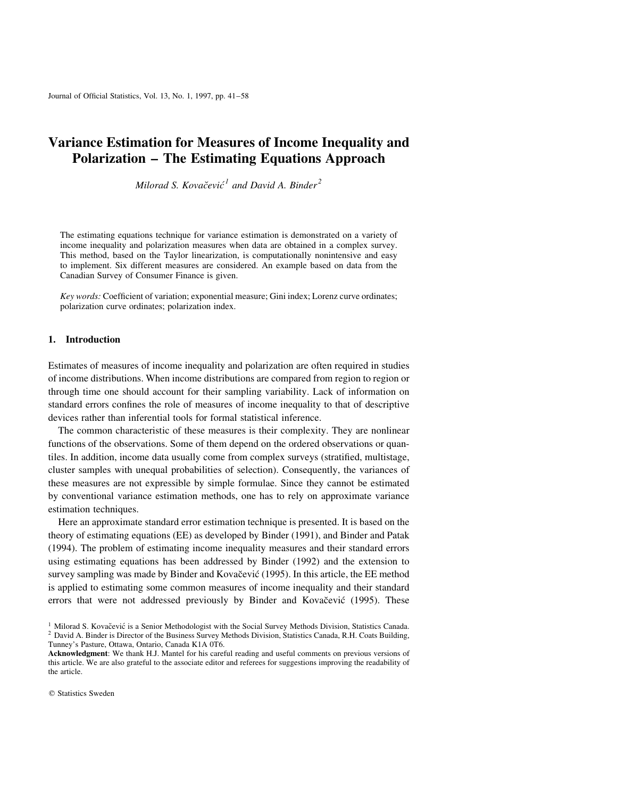Journal of Official Statistics, Vol. 13, No. 1, 1997, pp. 41-58

# Variance Estimation for Measures of Income Inequality and Polarization - The Estimating Equations Approach

Milorad S. Kovačević<sup>1</sup> and David A. Binder<sup>2</sup>

The estimating equations technique for variance estimation is demonstrated on a variety of income inequality and polarization measures when data are obtained in a complex survey. This method, based on the Taylor linearization, is computationally nonintensive and easy to implement. Six different measures are considered. An example based on data from the Canadian Survey of Consumer Finance is given.

Key words: Coefficient of variation; exponential measure; Gini index; Lorenz curve ordinates; polarization curve ordinates; polarization index.

### 1. Introduction

Estimates of measures of income inequality and polarization are often required in studies of income distributions. When income distributions are compared from region to region or through time one should account for their sampling variability. Lack of information on standard errors confines the role of measures of income inequality to that of descriptive devices rather than inferential tools for formal statistical inference.

The common characteristic of these measures is their complexity. They are nonlinear functions of the observations. Some of them depend on the ordered observations or quantiles. In addition, income data usually come from complex surveys (stratified, multistage, cluster samples with unequal probabilities of selection). Consequently, the variances of these measures are not expressible by simple formulae. Since they cannot be estimated by conventional variance estimation methods, one has to rely on approximate variance estimation techniques.

Here an approximate standard error estimation technique is presented. It is based on the theory of estimating equations (EE) as developed by Binder (1991), and Binder and Patak (1994). The problem of estimating income inequality measures and their standard errors using estimating equations has been addressed by Binder (1992) and the extension to survey sampling was made by Binder and Kovačević (1995). In this article, the EE method is applied to estimating some common measures of income inequality and their standard errors that were not addressed previously by Binder and Kovačević (1995). These

<sup>&</sup>lt;sup>1</sup> Milorad S. Kovačević is a Senior Methodologist with the Social Survey Methods Division, Statistics Canada. <sup>2</sup> David A. Binder is Director of the Business Survey Methods Division, Statistics Canada, R.H. Coats Buildin Tunney's Pasture, Ottawa, Ontario, Canada K1A 0T6.

Acknowledgment: We thank H.J. Mantel for his careful reading and useful comments on previous versions of this article. We are also grateful to the associate editor and referees for suggestions improving the readability of the article.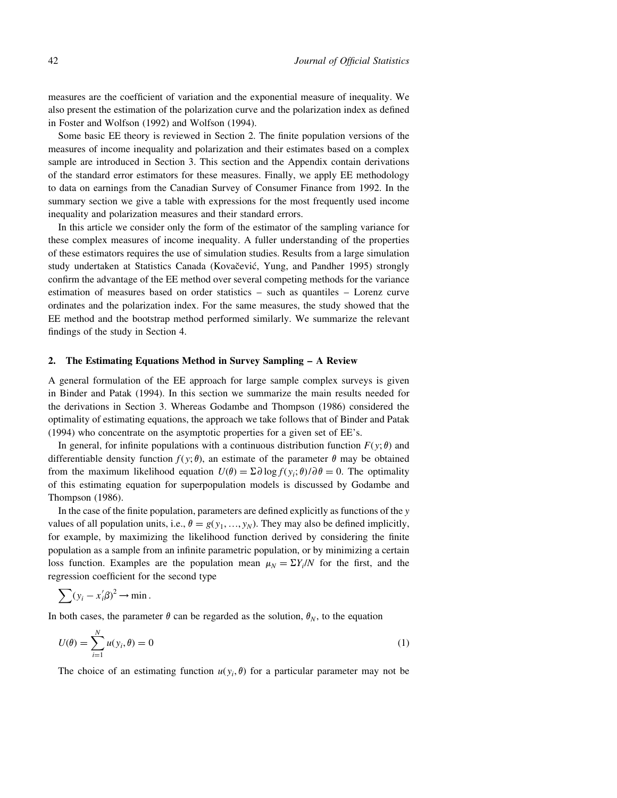measures are the coefficient of variation and the exponential measure of inequality. We also present the estimation of the polarization curve and the polarization index as defined in Foster and Wolfson (1992) and Wolfson (1994).

Some basic EE theory is reviewed in Section 2. The finite population versions of the measures of income inequality and polarization and their estimates based on a complex sample are introduced in Section 3. This section and the Appendix contain derivations of the standard error estimators for these measures. Finally, we apply EE methodology to data on earnings from the Canadian Survey of Consumer Finance from 1992. In the summary section we give a table with expressions for the most frequently used income inequality and polarization measures and their standard errors.

In this article we consider only the form of the estimator of the sampling variance for these complex measures of income inequality. A fuller understanding of the properties of these estimators requires the use of simulation studies. Results from a large simulation study undertaken at Statistics Canada (Kovačević, Yung, and Pandher 1995) strongly confirm the advantage of the EE method over several competing methods for the variance estimation of measures based on order statistics  $-$  such as quantiles  $-$  Lorenz curve ordinates and the polarization index. For the same measures, the study showed that the EE method and the bootstrap method performed similarly. We summarize the relevant findings of the study in Section 4.

#### 2. The Estimating Equations Method in Survey Sampling - A Review

A general formulation of the EE approach for large sample complex surveys is given in Binder and Patak (1994). In this section we summarize the main results needed for the derivations in Section 3. Whereas Godambe and Thompson (1986) considered the optimality of estimating equations, the approach we take follows that of Binder and Patak (1994) who concentrate on the asymptotic properties for a given set of EE's.

In general, for infinite populations with a continuous distribution function  $F(y; \theta)$  and differentiable density function  $f(y; \theta)$ , an estimate of the parameter  $\theta$  may be obtained from the maximum likelihood equation  $U(\theta) = \Sigma \partial \log f(y_i; \theta) / \partial \theta = 0$ . The optimality of this estimating equation for superpopulation models is discussed by Godambe and Thompson (1986).

In the case of the finite population, parameters are defined explicitly as functions of the  $y$ values of all population units, i.e.,  $\theta = g(y_1, \ldots, y_N)$ . They may also be defined implicitly, for example, by maximizing the likelihood function derived by considering the finite population as a sample from an infinite parametric population, or by minimizing a certain loss function. Examples are the population mean  $\mu_N = \Sigma Y_i/N$  for the first, and the regression coefficient for the second type

$$
\sum (y_i - x_i' \beta)^2 \to \min.
$$

 $\lambda$ <sub>I</sub>

In both cases, the parameter  $\theta$  can be regarded as the solution,  $\theta_N$ , to the equation

$$
U(\theta) = \sum_{i=1}^{N} u(y_i, \theta) = 0
$$
 (1)

The choice of an estimating function  $u(y_i, \theta)$  for a particular parameter may not be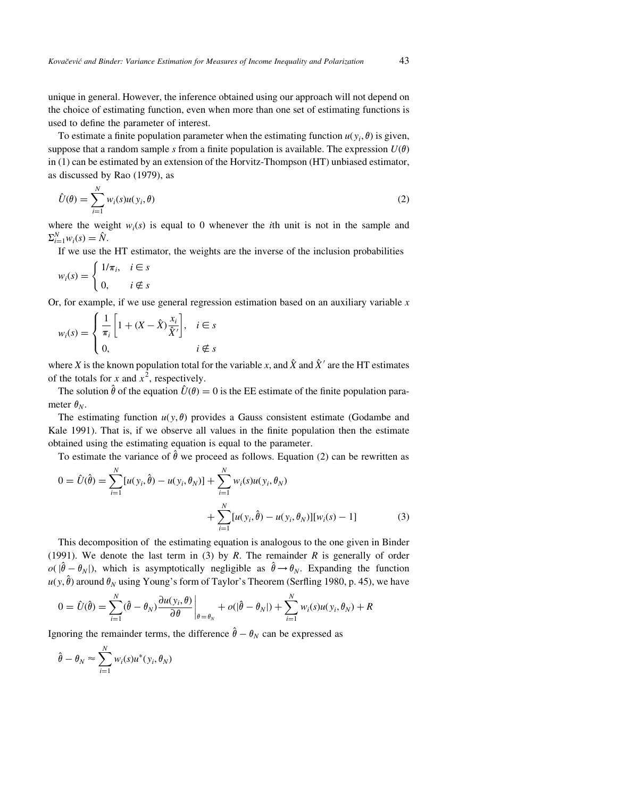unique in general. However, the inference obtained using our approach will not depend on the choice of estimating function, even when more than one set of estimating functions is used to define the parameter of interest.

To estimate a finite population parameter when the estimating function  $u(y_i, \theta)$  is given, suppose that a random sample s from a finite population is available. The expression  $U(\theta)$ in (1) can be estimated by an extension of the Horvitz-Thompson (HT) unbiased estimator, as discussed by Rao (1979), as

$$
\hat{U}(\theta) = \sum_{i=1}^{N} w_i(s)u(y_i, \theta)
$$
\n(2)

where the weight  $w_i(s)$  is equal to 0 whenever the *i*th unit is not in the sample and  $\Sigma_{i=1}^N w_i(s) = \hat{N}.$ 

If we use the HT estimator, the weights are the inverse of the inclusion probabilities

$$
w_i(s) = \begin{cases} 1/\pi_i, & i \in s \\ 0, & i \notin s \end{cases}
$$

Or, for example, if we use general regression estimation based on an auxiliary variable  $x$ 

$$
w_i(s) = \begin{cases} \frac{1}{\pi_i} \left[ 1 + (X - \hat{X}) \frac{x_i}{\hat{X}'} \right], & i \in s \\ 0, & i \notin s \end{cases}
$$

where X is the known population total for the variable x, and  $\hat{X}$  and  $\hat{X}$ ' are the HT estimates of the totals for x and  $x^2$ , respectively.

The solution  $\hat{\theta}$  of the equation  $\hat{U}(\theta) = 0$  is the EE estimate of the finite population parameter  $\theta_N$ .

The estimating function  $u(y, \theta)$  provides a Gauss consistent estimate (Godambe and Kale 1991). That is, if we observe all values in the finite population then the estimate obtained using the estimating equation is equal to the parameter.

To estimate the variance of  $\hat{\theta}$  we proceed as follows. Equation (2) can be rewritten as

$$
0 = \hat{U}(\hat{\theta}) = \sum_{i=1}^{N} [u(y_i, \hat{\theta}) - u(y_i, \theta_N)] + \sum_{i=1}^{N} w_i(s)u(y_i, \theta_N) + \sum_{i=1}^{N} [u(y_i, \hat{\theta}) - u(y_i, \theta_N)][w_i(s) - 1]
$$
(3)

This decomposition of the estimating equation is analogous to the one given in Binder (1991). We denote the last term in (3) by R. The remainder R is generally of order  $o(|\hat{\theta} - \theta_N|)$ , which is asymptotically negligible as  $\hat{\theta} \rightarrow \theta_N$ . Expanding the function  $u(y, \hat{\theta})$  around  $\theta_N$  using Young's form of Taylor's Theorem (Serfling 1980, p. 45), we have

$$
0 = \hat{U}(\hat{\theta}) = \sum_{i=1}^{N} (\hat{\theta} - \theta_N) \frac{\partial u(y_i, \theta)}{\partial \theta} \bigg|_{\theta = \theta_N} + o(|\hat{\theta} - \theta_N|) + \sum_{i=1}^{N} w_i(s) u(y_i, \theta_N) + R
$$

Ignoring the remainder terms, the difference  $\hat{\theta} - \theta_N$  can be expressed as

$$
\hat{\theta} - \theta_N \approx \sum_{i=1}^N w_i(s) u^*(y_i, \theta_N)
$$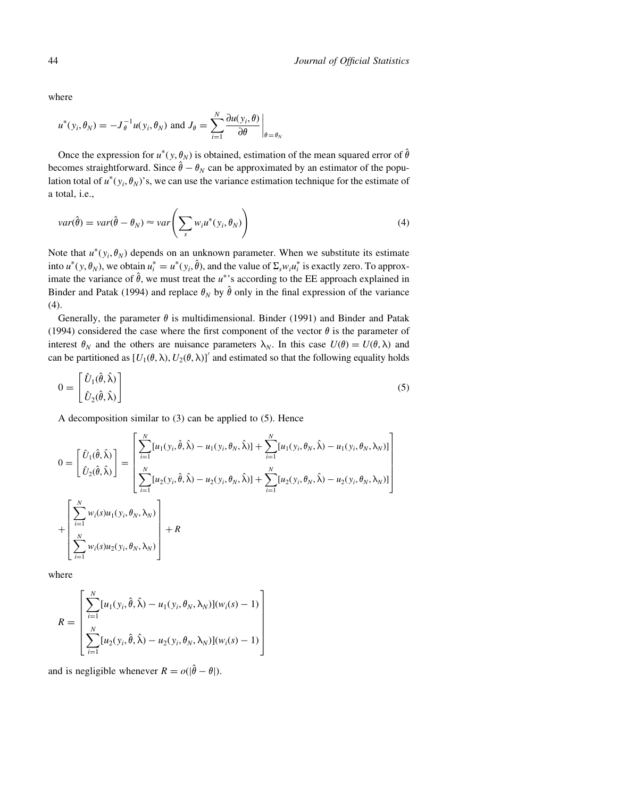where

$$
u^*(y_i, \theta_N) = -J_\theta^{-1} u(y_i, \theta_N) \text{ and } J_\theta = \sum_{i=1}^N \frac{\partial u(y_i, \theta)}{\partial \theta} \bigg|_{\theta = \theta_N}
$$

Once the expression for  $u^*(y, \theta_N)$  is obtained, estimation of the mean squared error of  $\hat{\theta}$ becomes straightforward. Since  $\hat{\theta} - \theta_N$  can be approximated by an estimator of the population total of  $u^*(y_i, \theta_N)'$ s, we can use the variance estimation technique for the estimate of a total, i.e.,

$$
var(\hat{\theta}) = var(\hat{\theta} - \theta_N) \approx var\left(\sum_s w_i u^*(y_i, \theta_N)\right)
$$
\n(4)

Note that  $u^*(y_i, \theta_N)$  depends on an unknown parameter. When we substitute its estimate into  $u^*(y, \theta_N)$ , we obtain  $u_i^* = u^*(y_i, \hat{\theta})$ , and the value of  $\Sigma_s w_i u_i^*$  is exactly zero. To approximate the variance of  $\hat{\theta}$ , we must treat the u<sup>\*</sup>'s according to the EE approach explained in Binder and Patak (1994) and replace  $\theta_N$  by  $\hat{\theta}$  only in the final expression of the variance (4).

Generally, the parameter  $\theta$  is multidimensional. Binder (1991) and Binder and Patak (1994) considered the case where the first component of the vector  $\theta$  is the parameter of interest  $\theta_N$  and the others are nuisance parameters  $\lambda_N$ . In this case  $U(\theta) = U(\theta, \lambda)$  and can be partitioned as  $[U_1(\theta, \lambda), U_2(\theta, \lambda)]'$  and estimated so that the following equality holds

$$
0 = \begin{bmatrix} \hat{U}_1(\hat{\theta}, \hat{\lambda}) \\ \hat{U}_2(\hat{\theta}, \hat{\lambda}) \end{bmatrix}
$$
 (5)

A decomposition similar to (3) can be applied to (5). Hence

$$
0 = \begin{bmatrix} \hat{U}_{1}(\hat{\theta}, \hat{\lambda}) \\ \hat{U}_{2}(\hat{\theta}, \hat{\lambda}) \end{bmatrix} = \begin{bmatrix} \sum_{i=1}^{N} [u_{1}(y_{i}, \hat{\theta}, \hat{\lambda}) - u_{1}(y_{i}, \theta_{N}, \hat{\lambda})] + \sum_{i=1}^{N} [u_{1}(y_{i}, \theta_{N}, \hat{\lambda}) - u_{1}(y_{i}, \theta_{N}, \lambda_{N})] \\ \sum_{i=1}^{N} [u_{2}(y_{i}, \hat{\theta}, \hat{\lambda}) - u_{2}(y_{i}, \theta_{N}, \hat{\lambda})] + \sum_{i=1}^{N} [u_{2}(y_{i}, \theta_{N}, \hat{\lambda}) - u_{2}(y_{i}, \theta_{N}, \lambda_{N})] \\ \sum_{i=1}^{N} w_{i}(s) u_{1}(y_{i}, \theta_{N}, \lambda_{N}) \\ \sum_{i=1}^{N} w_{i}(s) u_{2}(y_{i}, \theta_{N}, \lambda_{N}) \end{bmatrix} + R
$$

where

$$
R = \left[ \frac{\sum_{i=1}^{N} [u_1(y_i, \hat{\theta}, \hat{\lambda}) - u_1(y_i, \theta_N, \lambda_N)](w_i(s) - 1)}{\sum_{i=1}^{N} [u_2(y_i, \hat{\theta}, \hat{\lambda}) - u_2(y_i, \theta_N, \lambda_N)](w_i(s) - 1)} \right]
$$

and is negligible whenever  $R = o(|\hat{\theta} - \theta|)$ .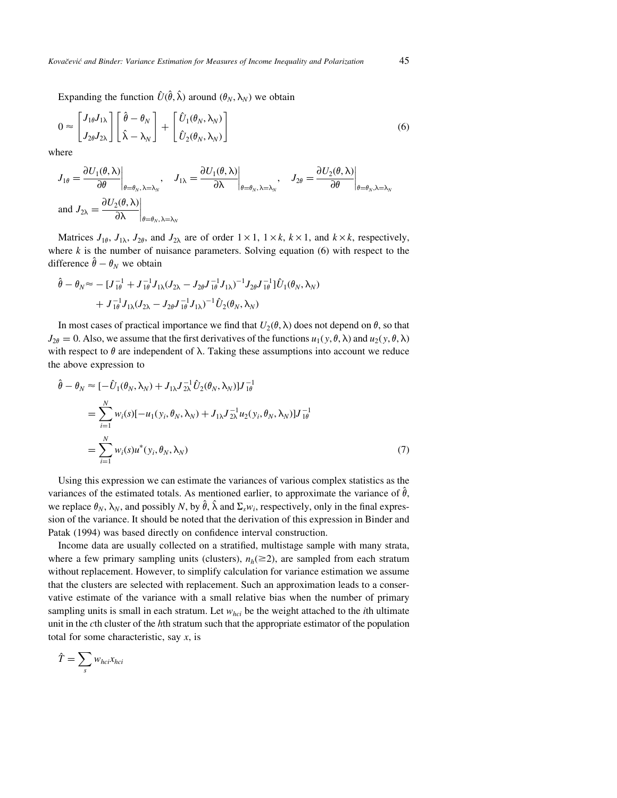Expanding the function  $\hat{U}(\hat{\theta}, \hat{\lambda})$  around  $(\theta_N, \lambda_N)$  we obtain

$$
0 \approx \begin{bmatrix} J_{1\theta} J_{1\lambda} \\ J_{2\theta} J_{2\lambda} \end{bmatrix} \begin{bmatrix} \hat{\theta} - \theta_N \\ \hat{\lambda} - \lambda_N \end{bmatrix} + \begin{bmatrix} \hat{U}_1(\theta_N, \lambda_N) \\ \hat{U}_2(\theta_N, \lambda_N) \end{bmatrix}
$$
(6)

where

$$
J_{1\theta} = \frac{\partial U_1(\theta, \lambda)}{\partial \theta}\Big|_{\theta = \theta_N, \lambda = \lambda_N}, \quad J_{1\lambda} = \frac{\partial U_1(\theta, \lambda)}{\partial \lambda}\Big|_{\theta = \theta_N, \lambda = \lambda_N}, \quad J_{2\theta} = \frac{\partial U_2(\theta, \lambda)}{\partial \theta}\Big|_{\theta = \theta_N, \lambda = \lambda_N}
$$
  
and  $J_{2\lambda} = \frac{\partial U_2(\theta, \lambda)}{\partial \lambda}\Big|_{\theta = \theta_N, \lambda = \lambda_N}$ 

Matrices  $J_{1\theta}$ ,  $J_{1\lambda}$ ,  $J_{2\theta}$ , and  $J_{2\lambda}$  are of order  $1 \times 1$ ,  $1 \times k$ ,  $k \times 1$ , and  $k \times k$ , respectively, where  $k$  is the number of nuisance parameters. Solving equation (6) with respect to the difference  $\hat{\theta} - \theta_N$  we obtain

$$
\hat{\theta} - \theta_N \approx - [J_{1\theta}^{-1} + J_{1\theta}^{-1} J_{1\lambda} (J_{2\lambda} - J_{2\theta} J_{1\theta}^{-1} J_{1\lambda})^{-1} J_{2\theta} J_{1\theta}^{-1}] \hat{U}_1(\theta_N, \lambda_N) \n+ J_{1\theta}^{-1} J_{1\lambda} (J_{2\lambda} - J_{2\theta} J_{1\theta}^{-1} J_{1\lambda})^{-1} \hat{U}_2(\theta_N, \lambda_N)
$$

In most cases of practical importance we find that  $U_2(\theta, \lambda)$  does not depend on  $\theta$ , so that  $J_{2\theta} = 0$ . Also, we assume that the first derivatives of the functions  $u_1(y, \theta, \lambda)$  and  $u_2(y, \theta, \lambda)$ with respect to  $\theta$  are independent of  $\lambda$ . Taking these assumptions into account we reduce the above expression to

$$
\hat{\theta} - \theta_N \approx [-\hat{U}_1(\theta_N, \lambda_N) + J_{1\lambda} J_{2\lambda}^{-1} \hat{U}_2(\theta_N, \lambda_N)] J_{1\theta}^{-1}
$$
\n
$$
= \sum_{i=1}^N w_i(s) [-u_1(y_i, \theta_N, \lambda_N) + J_{1\lambda} J_{2\lambda}^{-1} u_2(y_i, \theta_N, \lambda_N)] J_{1\theta}^{-1}
$$
\n
$$
= \sum_{i=1}^N w_i(s) u^*(y_i, \theta_N, \lambda_N)
$$
\n(7)

Using this expression we can estimate the variances of various complex statistics as the variances of the estimated totals. As mentioned earlier, to approximate the variance of  $\hat{\theta}$ , we replace  $\theta_N$ ,  $\lambda_N$ , and possibly N, by  $\hat{\theta}$ ,  $\hat{\lambda}$  and  $\Sigma_s w_i$ , respectively, only in the final expression of the variance. It should be noted that the derivation of this expression in Binder and Patak (1994) was based directly on confidence interval construction.

Income data are usually collected on a stratified, multistage sample with many strata, where a few primary sampling units (clusters),  $n_h (\geq 2)$ , are sampled from each stratum without replacement. However, to simplify calculation for variance estimation we assume that the clusters are selected with replacement. Such an approximation leads to a conservative estimate of the variance with a small relative bias when the number of primary sampling units is small in each stratum. Let  $w_{hc}$  be the weight attached to the *i*th ultimate unit in the cth cluster of the hth stratum such that the appropriate estimator of the population total for some characteristic, say  $x$ , is

$$
\hat{T} = \sum_{s} w_{hci} x_{hci}
$$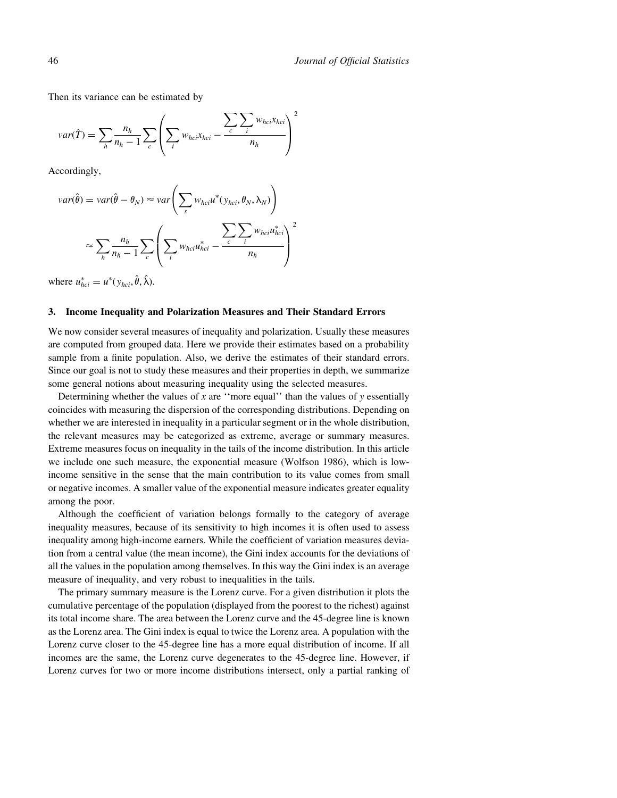Then its variance can be estimated by

$$
var(\hat{T}) = \sum_{h} \frac{n_h}{n_h - 1} \sum_{c} \left( \sum_{i} w_{hci} x_{hci} - \frac{\sum_{c} \sum_{i} w_{hci} x_{hci}}{n_h} \right)^2
$$

Accordingly,

$$
var(\hat{\theta}) = var(\hat{\theta} - \theta_N) \approx var\left(\sum_s w_{hci}u^*(y_{hci}, \theta_N, \lambda_N)\right)
$$

$$
\approx \sum_h \frac{n_h}{n_h - 1} \sum_c \left(\sum_i w_{hci}u_{hci}^* - \frac{\sum_c \sum_i w_{hci}u_{hci}^*}{n_h}\right)^2
$$

where  $u_{hci}^* = u^*(y_{hci}, \hat{\theta}, \hat{\lambda}).$ 

#### 3. Income Inequality and Polarization Measures and Their Standard Errors

We now consider several measures of inequality and polarization. Usually these measures are computed from grouped data. Here we provide their estimates based on a probability sample from a finite population. Also, we derive the estimates of their standard errors. Since our goal is not to study these measures and their properties in depth, we summarize some general notions about measuring inequality using the selected measures.

Determining whether the values of x are  $\alpha$  "more equal" than the values of y essentially coincides with measuring the dispersion of the corresponding distributions. Depending on whether we are interested in inequality in a particular segment or in the whole distribution, the relevant measures may be categorized as extreme, average or summary measures. Extreme measures focus on inequality in the tails of the income distribution. In this article we include one such measure, the exponential measure (Wolfson 1986), which is lowincome sensitive in the sense that the main contribution to its value comes from small or negative incomes. A smaller value of the exponential measure indicates greater equality among the poor.

Although the coefficient of variation belongs formally to the category of average inequality measures, because of its sensitivity to high incomes it is often used to assess inequality among high-income earners. While the coefficient of variation measures deviation from a central value (the mean income), the Gini index accounts for the deviations of all the values in the population among themselves. In this way the Gini index is an average measure of inequality, and very robust to inequalities in the tails.

The primary summary measure is the Lorenz curve. For a given distribution it plots the cumulative percentage of the population (displayed from the poorest to the richest) against its total income share. The area between the Lorenz curve and the 45-degree line is known as the Lorenz area. The Gini index is equal to twice the Lorenz area. A population with the Lorenz curve closer to the 45-degree line has a more equal distribution of income. If all incomes are the same, the Lorenz curve degenerates to the 45-degree line. However, if Lorenz curves for two or more income distributions intersect, only a partial ranking of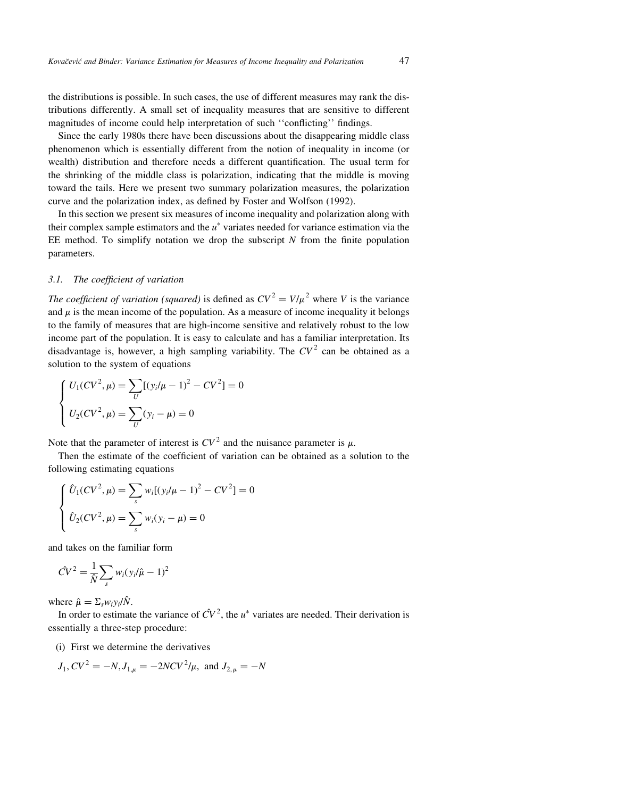the distributions is possible. In such cases, the use of different measures may rank the distributions differently. A small set of inequality measures that are sensitive to different magnitudes of income could help interpretation of such "conflicting" findings.

Since the early 1980s there have been discussions about the disappearing middle class phenomenon which is essentially different from the notion of inequality in income (or wealth) distribution and therefore needs a different quantification. The usual term for the shrinking of the middle class is polarization, indicating that the middle is moving toward the tails. Here we present two summary polarization measures, the polarization curve and the polarization index, as defined by Foster and Wolfson (1992).

In this section we present six measures of income inequality and polarization along with their complex sample estimators and the  $u^*$  variates needed for variance estimation via the EE method. To simplify notation we drop the subscript  $N$  from the finite population parameters.

#### 3.1. The coefficient of variation

The coefficient of variation (squared) is defined as  $CV^2 = V/\mu^2$  where V is the variance and  $\mu$  is the mean income of the population. As a measure of income inequality it belongs to the family of measures that are high-income sensitive and relatively robust to the low income part of the population. It is easy to calculate and has a familiar interpretation. Its disadvantage is, however, a high sampling variability. The  $CV<sup>2</sup>$  can be obtained as a solution to the system of equations

$$
\begin{cases} U_1(CV^2, \mu) = \sum_U [(y_i/\mu - 1)^2 - CV^2] = 0 \\ U_2(CV^2, \mu) = \sum_U (y_i - \mu) = 0 \end{cases}
$$

Note that the parameter of interest is  $CV^2$  and the nuisance parameter is  $\mu$ .

Then the estimate of the coefficient of variation can be obtained as a solution to the following estimating equations

$$
\begin{cases} \n\hat{U}_1(CV^2, \mu) = \sum_s w_i [(y_i/\mu - 1)^2 - CV^2] = 0\\ \n\hat{U}_2(CV^2, \mu) = \sum_s w_i (y_i - \mu) = 0 \n\end{cases}
$$

and takes on the familiar form

$$
\hat{CV}^2 = \frac{1}{\hat{N}} \sum_s w_i (y_i/\hat{\mu} - 1)^2
$$

where  $\hat{\mu} = \sum_s w_i y_i / \hat{N}$ .

In order to estimate the variance of  $\hat{CV}^2$ , the  $u^*$  variates are needed. Their derivation is essentially a three-step procedure:

(i) First we determine the derivatives

$$
J_1, CV^2 = -N, J_{1,\mu} = -2NCV^2/\mu
$$
, and  $J_{2,\mu} = -N$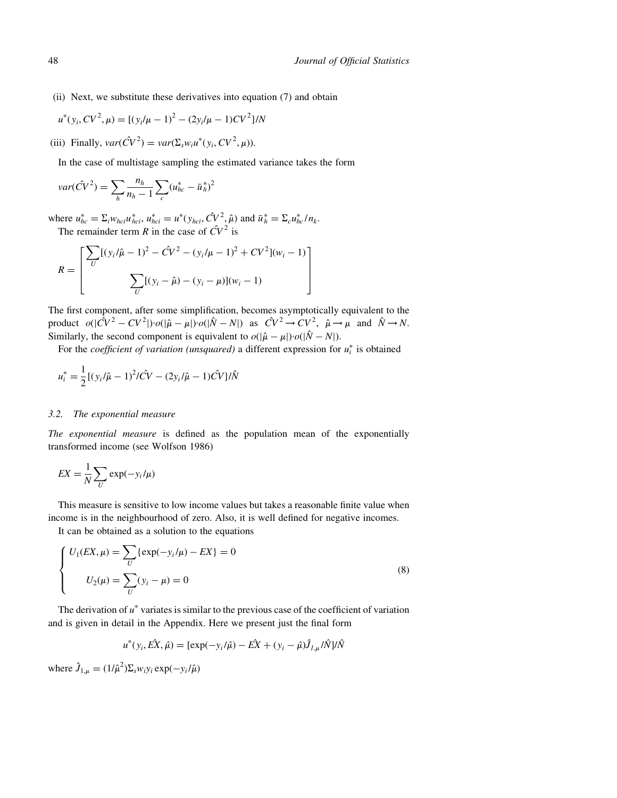(ii) Next, we substitute these derivatives into equation (7) and obtain

$$
u^*(y_i, CV^2, \mu) = [(y_i/\mu - 1)^2 - (2y_i/\mu - 1)CV^2]/N
$$

(iii) Finally,  $var(\hat{CV}^2) = var(\Sigma_s w_i u^*(y_i, CV^2, \mu)).$ 

In the case of multistage sampling the estimated variance takes the form

$$
var(\hat{CV}^2) = \sum_{h} \frac{n_h}{n_h - 1} \sum_{c} (u_{hc}^* - \bar{u}_h^*)^2
$$

where  $u_{hc}^* = \sum_i w_{hc} u_{hc}^*$ ,  $u_{hc}^* = u^* (y_{hc}, \hat{CV}^2, \hat{\mu})$  and  $\bar{u}_h^* = \sum_c u_{hc}^* / n_k$ . The remainder term R in the case of  $\hat{CV}^2$  is

$$
R = \left[ \frac{\sum_{U} [(y_i/\hat{\mu} - 1)^2 - \hat{C}V^2 - (y_i/\mu - 1)^2 + CV^2](w_i - 1)}{\sum_{U} [(y_i - \hat{\mu}) - (y_i - \mu)](w_i - 1)} \right]
$$

The first component, after some simplification, becomes asymptotically equivalent to the product  $o(|\hat{CV}^2 - CV^2|) \cdot o(|\hat{\mu} - \mu|) \cdot o(|\hat{N} - N|)$  as  $\hat{CV}^2 \rightarrow CV^2$ ,  $\hat{\mu} \rightarrow \mu$  and  $\hat{N} \rightarrow N$ . Similarly, the second component is equivalent to  $o(|\hat{\mu} - \mu|) \cdot o(|\hat{N} - N|)$ .

For the *coefficient of variation (unsquared)* a different expression for  $u_i^*$  is obtained

$$
u_i^* = \frac{1}{2} [(y_i/\hat{\mu} - 1)^2 / \hat{C}V - (2y_i/\hat{\mu} - 1)\hat{C}V] / \hat{N}
$$

#### 3.2. The exponential measure

The exponential measure is defined as the population mean of the exponentially transformed income (see Wolfson 1986)

$$
EX = \frac{1}{N} \sum_{U} \exp(-y_i/\mu)
$$

This measure is sensitive to low income values but takes a reasonable finite value when income is in the neighbourhood of zero. Also, it is well defined for negative incomes.

It can be obtained as a solution to the equations

$$
\begin{cases}\nU_1(EX,\mu) = \sum_{U} \{ \exp(-y_i/\mu) - EX \} = 0 \\
U_2(\mu) = \sum_{U} (y_i - \mu) = 0\n\end{cases}
$$
\n(8)

The derivation of  $u^*$  variates is similar to the previous case of the coefficient of variation and is given in detail in the Appendix. Here we present just the final form

$$
u^*(y_i, E\hat{X}, \hat{\mu}) = [\exp(-y_i/\hat{\mu}) - E\hat{X} + (y_i - \hat{\mu})\hat{J}_{I,\mu}/\hat{N}]/\hat{N}
$$

where  $\hat{J}_{1,\mu} = (1/\hat{\mu}^2) \Sigma_s w_i y_i \exp(-y_i/\hat{\mu})$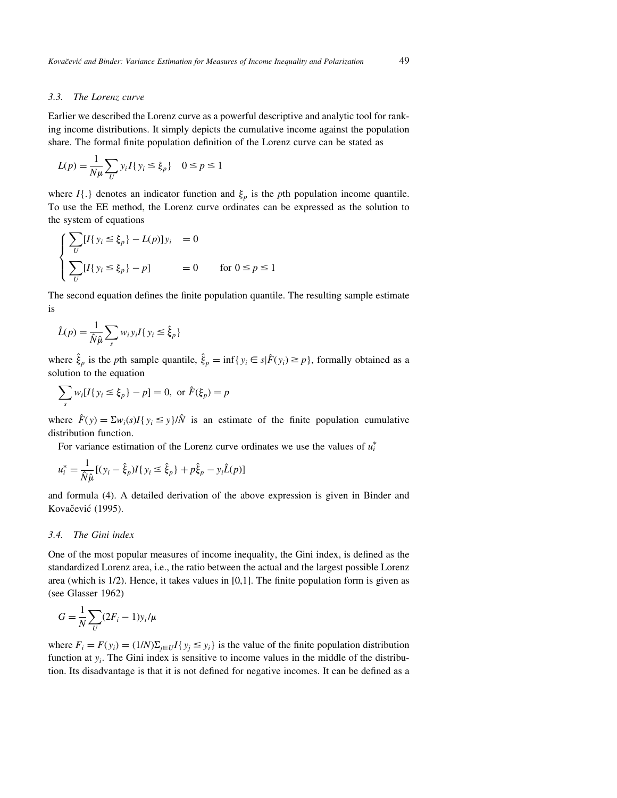#### 3.3. The Lorenz curve

Earlier we described the Lorenz curve as a powerful descriptive and analytic tool for ranking income distributions. It simply depicts the cumulative income against the population share. The formal finite population definition of the Lorenz curve can be stated as

$$
L(p) = \frac{1}{N\mu} \sum_{U} y_i I\{y_i \le \xi_p\} \quad 0 \le p \le 1
$$

where  $I\{\cdot\}$  denotes an indicator function and  $\xi_p$  is the pth population income quantile. To use the EE method, the Lorenz curve ordinates can be expressed as the solution to the system of equations

$$
\begin{cases}\n\sum_{U} [I\{y_i \le \xi_p\} - L(p)]y_i = 0 \\
\sum_{U} [I\{y_i \le \xi_p\} - p] = 0 \quad \text{for } 0 \le p \le 1\n\end{cases}
$$

The second equation defines the finite population quantile. The resulting sample estimate is

$$
\hat{L}(p) = \frac{1}{\hat{N}\hat{\mu}} \sum_{s} w_i y_i I\{y_i \le \hat{\xi}_p\}
$$

where  $\hat{\xi}_p$  is the pth sample quantile,  $\hat{\xi}_p = \inf\{y_i \in s | \hat{F}(y_i) \ge p\}$ , formally obtained as a solution to the equation

$$
\sum_{s} w_i [I \{ y_i \le \xi_p \} - p] = 0, \text{ or } \hat{F}(\xi_p) = p
$$

where  $\hat{F}(y) = \sum w_i(s)I(y_i \le y)/\hat{N}$  is an estimate of the finite population cumulative distribution function.

For variance estimation of the Lorenz curve ordinates we use the values of  $u_i^*$ 

$$
u_i^* = \frac{1}{\hat{N}\hat{\mu}}[(y_i - \hat{\xi}_p)I\{y_i \le \hat{\xi}_p\} + p\hat{\xi}_p - y_i\hat{L}(p)]
$$

and formula (4). A detailed derivation of the above expression is given in Binder and Kovačević (1995).

#### 3.4. The Gini index

One of the most popular measures of income inequality, the Gini index, is defined as the standardized Lorenz area, i.e., the ratio between the actual and the largest possible Lorenz area (which is  $1/2$ ). Hence, it takes values in  $[0,1]$ . The finite population form is given as (see Glasser 1962)

$$
G = \frac{1}{N} \sum_{U} (2F_i - 1) y_i / \mu
$$

where  $F_i = F(y_i) = (1/N)\sum_{i \in U} I\{y_i \leq y_i\}$  is the value of the finite population distribution function at  $y_i$ . The Gini index is sensitive to income values in the middle of the distribution. Its disadvantage is that it is not defined for negative incomes. It can be defined as a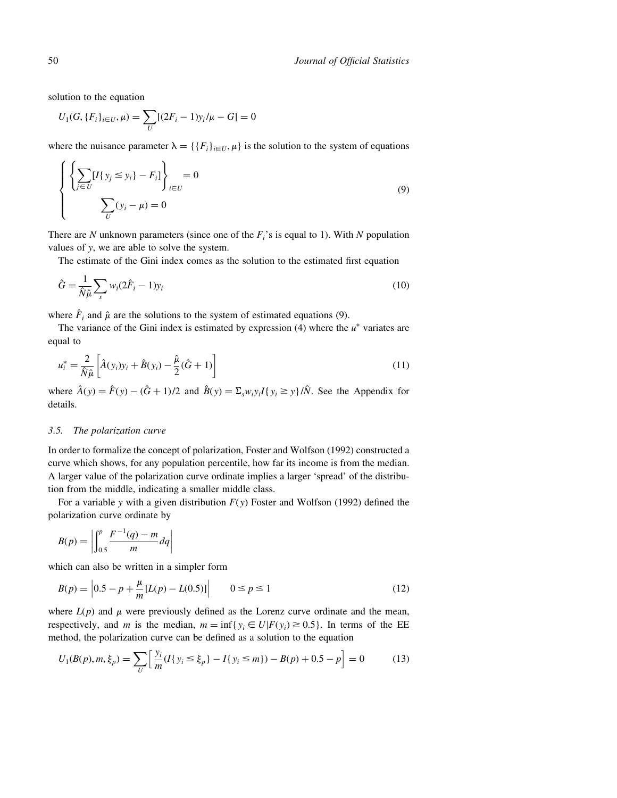solution to the equation

$$
U_1(G, \{F_i\}_{i \in U}, \mu) = \sum_U [(2F_i - 1)y_i/\mu - G] = 0
$$

where the nuisance parameter  $\lambda = \{ \{F_i\}_{i \in U}, \mu \}$  is the solution to the system of equations

$$
\left\{\left\{\sum_{j\in U} [I\{y_j \le y_i\} - F_i]\right\}_{i\in U} = 0
$$
\n
$$
\sum_{U} (y_i - \mu) = 0
$$
\n(9)

There are N unknown parameters (since one of the  $F_i$ 's is equal to 1). With N population values of y, we are able to solve the system.

The estimate of the Gini index comes as the solution to the estimated first equation

$$
\hat{G} = \frac{1}{\hat{N}\hat{\mu}} \sum_{s} w_i (2\hat{F}_i - 1) y_i
$$
\n(10)

where  $\hat{F}_i$  and  $\hat{\mu}$  are the solutions to the system of estimated equations (9).

The variance of the Gini index is estimated by expression (4) where the  $u^*$  variates are equal to

$$
u_i^* = \frac{2}{\hat{N}\hat{\mu}} \left[ \hat{A}(y_i) y_i + \hat{B}(y_i) - \frac{\hat{\mu}}{2} (\hat{G} + 1) \right]
$$
 (11)

where  $\hat{A}(y) = \hat{F}(y) - (\hat{G} + 1)/2$  and  $\hat{B}(y) = \sum_{x} w_i y_i I(y_i \ge y_i)/\hat{N}$ . See the Appendix for details.

## 3.5. The polarization curve

In order to formalize the concept of polarization, Foster and Wolfson (1992) constructed a curve which shows, for any population percentile, how far its income is from the median. A larger value of the polarization curve ordinate implies a larger `spread' of the distribution from the middle, indicating a smaller middle class.

For a variable y with a given distribution  $F(y)$  Foster and Wolfson (1992) defined the polarization curve ordinate by

$$
B(p) = \left| \int_{0.5}^{p} \frac{F^{-1}(q) - m}{m} dq \right|
$$

which can also be written in a simpler form

$$
B(p) = |0.5 - p + \frac{\mu}{m} [L(p) - L(0.5)]| \qquad 0 \le p \le 1
$$
 (12)

where  $L(p)$  and  $\mu$  were previously defined as the Lorenz curve ordinate and the mean, respectively, and m is the median,  $m = \inf\{y_i \in U | F(y_i) \ge 0.5\}$ . In terms of the EE method, the polarization curve can be defined as a solution to the equation

$$
U_1(B(p), m, \xi_p) = \sum_{U} \left[ \frac{y_i}{m} (I\{y_i \le \xi_p\} - I\{y_i \le m\}) - B(p) + 0.5 - p \right] = 0 \tag{13}
$$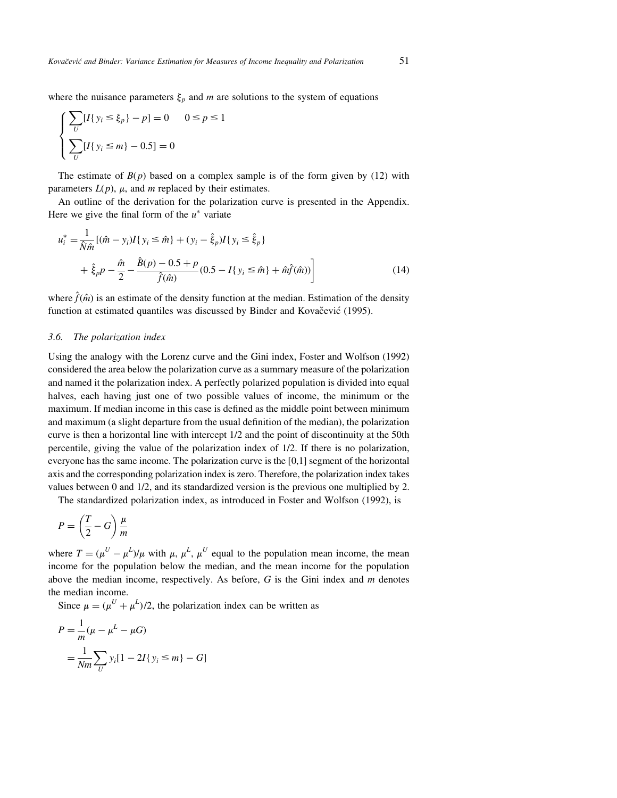where the nuisance parameters  $\xi_p$  and m are solutions to the system of equations

$$
\begin{cases}\n\sum_{U} [I\{y_i \le \xi_p\} - p] = 0 & 0 \le p \le 1 \\
\sum_{U} [I\{y_i \le m\} - 0.5] = 0\n\end{cases}
$$

The estimate of  $B(p)$  based on a complex sample is of the form given by (12) with parameters  $L(p)$ ,  $\mu$ , and m replaced by their estimates.

An outline of the derivation for the polarization curve is presented in the Appendix. Here we give the final form of the  $u^*$  variate

$$
u_i^* = \frac{1}{\hat{N}\hat{m}}[(\hat{m} - y_i)I\{y_i \le \hat{m}\} + (y_i - \hat{\xi}_p)I\{y_i \le \hat{\xi}_p\} + \hat{\xi}_p p - \frac{\hat{m}}{2} - \frac{\hat{B}(p) - 0.5 + p}{\hat{f}(\hat{m})}(0.5 - I\{y_i \le \hat{m}\} + \hat{m}\hat{f}(\hat{m}))
$$
(14)

where  $\hat{f}(\hat{m})$  is an estimate of the density function at the median. Estimation of the density function at estimated quantiles was discussed by Binder and Kovačević (1995).

#### 3.6. The polarization index

Using the analogy with the Lorenz curve and the Gini index, Foster and Wolfson (1992) considered the area below the polarization curve as a summary measure of the polarization and named it the polarization index. A perfectly polarized population is divided into equal halves, each having just one of two possible values of income, the minimum or the maximum. If median income in this case is defined as the middle point between minimum and maximum (a slight departure from the usual definition of the median), the polarization curve is then a horizontal line with intercept 1/2 and the point of discontinuity at the 50th percentile, giving the value of the polarization index of 1/2. If there is no polarization, everyone has the same income. The polarization curve is the [0,1] segment of the horizontal axis and the corresponding polarization index is zero. Therefore, the polarization index takes values between 0 and 1/2, and its standardized version is the previous one multiplied by 2.

The standardized polarization index, as introduced in Foster and Wolfson (1992), is

$$
P = \left(\frac{T}{2} - G\right)\frac{\mu}{m}
$$

where  $T = (\mu^U - \mu^L)/\mu$  with  $\mu$ ,  $\mu^L$ ,  $\mu^U$  equal to the population mean income, the mean income for the population below the median, and the mean income for the population above the median income, respectively. As before,  $G$  is the Gini index and  $m$  denotes the median income.

Since  $\mu = (\mu^U + \mu^L)/2$ , the polarization index can be written as

$$
P = \frac{1}{m}(\mu - \mu^L - \mu G)
$$
  
=  $\frac{1}{Nm} \sum_{U} y_i [1 - 2I\{y_i \le m\} - G]$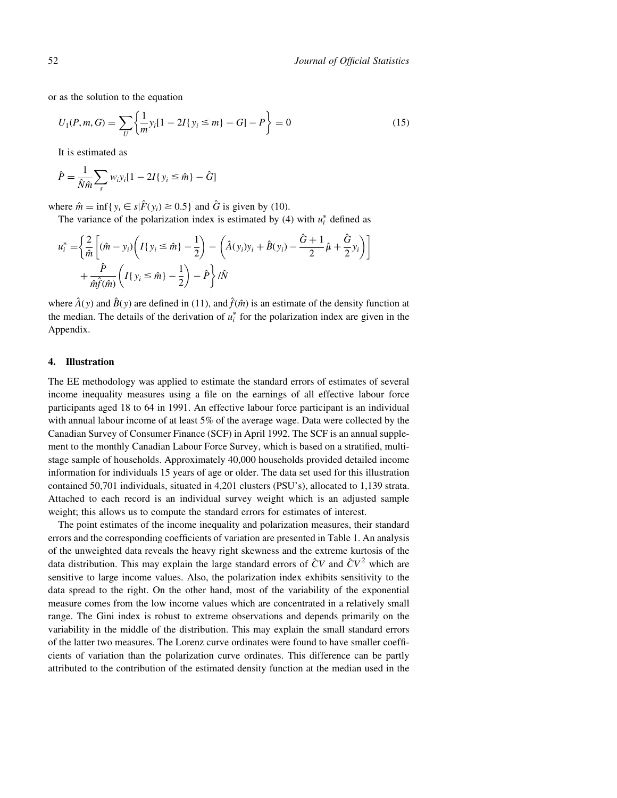or as the solution to the equation

$$
U_1(P, m, G) = \sum_{U} \left\{ \frac{1}{m} y_i [1 - 2I\{y_i \le m\} - G] - P \right\} = 0
$$
\n(15)

It is estimated as

$$
\hat{P} = \frac{1}{\hat{N}\hat{m}} \sum_{s} w_i y_i [1 - 2I\{y_i \leq \hat{m}\} - \hat{G}]
$$

where  $\hat{m} = \inf \{ y_i \in s | \hat{F}(y_i) \ge 0.5 \}$  and  $\hat{G}$  is given by (10).

The variance of the polarization index is estimated by (4) with  $u_i^*$  defined as

$$
u_i^* = \left\{ \frac{2}{\hat{m}} \left[ (\hat{m} - y_i) \left( I\{y_i \leq \hat{m}\} - \frac{1}{2} \right) - \left( \hat{A}(y_i) y_i + \hat{B}(y_i) - \frac{\hat{G} + 1}{2} \hat{\mu} + \frac{\hat{G}}{2} y_i \right) \right] + \frac{\hat{P}}{\hat{m}\hat{f}(\hat{m})} \left( I\{y_i \leq \hat{m}\} - \frac{1}{2} \right) - \hat{P} \right\} / \hat{N}
$$

where  $\hat{A}(y)$  and  $\hat{B}(y)$  are defined in (11), and  $\hat{f}(\hat{m})$  is an estimate of the density function at the median. The details of the derivation of  $u_i^*$  for the polarization index are given in the Appendix.

#### 4. Illustration

The EE methodology was applied to estimate the standard errors of estimates of several income inequality measures using a file on the earnings of all effective labour force participants aged 18 to 64 in 1991. An effective labour force participant is an individual with annual labour income of at least 5% of the average wage. Data were collected by the Canadian Survey of Consumer Finance (SCF) in April 1992. The SCF is an annual supplement to the monthly Canadian Labour Force Survey, which is based on a stratified, multistage sample of households. Approximately 40,000 households provided detailed income information for individuals 15 years of age or older. The data set used for this illustration contained 50,701 individuals, situated in 4,201 clusters (PSU's), allocated to 1,139 strata. Attached to each record is an individual survey weight which is an adjusted sample weight; this allows us to compute the standard errors for estimates of interest.

The point estimates of the income inequality and polarization measures, their standard errors and the corresponding coefficients of variation are presented in Table 1. An analysis of the unweighted data reveals the heavy right skewness and the extreme kurtosis of the data distribution. This may explain the large standard errors of  $\hat{C}V$  and  $\hat{C}V^2$  which are sensitive to large income values. Also, the polarization index exhibits sensitivity to the data spread to the right. On the other hand, most of the variability of the exponential measure comes from the low income values which are concentrated in a relatively small range. The Gini index is robust to extreme observations and depends primarily on the variability in the middle of the distribution. This may explain the small standard errors of the latter two measures. The Lorenz curve ordinates were found to have smaller coefficients of variation than the polarization curve ordinates. This difference can be partly attributed to the contribution of the estimated density function at the median used in the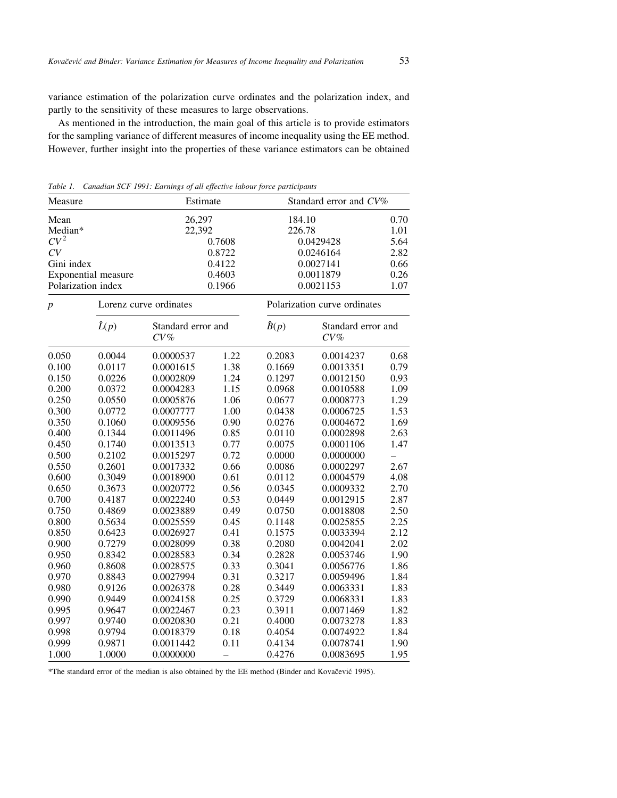variance estimation of the polarization curve ordinates and the polarization index, and partly to the sensitivity of these measures to large observations.

As mentioned in the introduction, the main goal of this article is to provide estimators for the sampling variance of different measures of income inequality using the EE method. However, further insight into the properties of these variance estimators can be obtained

| Measure             |                        | Estimate                     |                              | Standard error and CV% |                              |      |
|---------------------|------------------------|------------------------------|------------------------------|------------------------|------------------------------|------|
| Mean                |                        | 26,297                       |                              | 184.10                 |                              | 0.70 |
| Median*             |                        | 22,392                       |                              | 226.78                 |                              | 1.01 |
| $CV^2$              |                        | 0.7608                       |                              | 0.0429428              |                              | 5.64 |
| CV                  |                        | 0.8722                       |                              | 0.0246164              |                              | 2.82 |
| Gini index          |                        | 0.4122                       |                              | 0.0027141              |                              | 0.66 |
| Exponential measure |                        | 0.4603                       |                              | 0.0011879              |                              | 0.26 |
| Polarization index  |                        | 0.1966                       |                              | 0.0021153              |                              | 1.07 |
| $\boldsymbol{p}$    | Lorenz curve ordinates |                              | Polarization curve ordinates |                        |                              |      |
|                     | $\hat{L}(p)$           | Standard error and<br>$CV\%$ |                              | $\hat{B}(p)$           | Standard error and<br>$CV\%$ |      |
| 0.050               | 0.0044                 | 0.0000537                    | 1.22                         | 0.2083                 | 0.0014237                    | 0.68 |
| 0.100               | 0.0117                 | 0.0001615                    | 1.38                         | 0.1669                 | 0.0013351                    | 0.79 |
| 0.150               | 0.0226                 | 0.0002809                    | 1.24                         | 0.1297                 | 0.0012150                    | 0.93 |
| 0.200               | 0.0372                 | 0.0004283                    | 1.15                         | 0.0968                 | 0.0010588                    | 1.09 |
| 0.250               | 0.0550                 | 0.0005876                    | 1.06                         | 0.0677                 | 0.0008773                    | 1.29 |
| 0.300               | 0.0772                 | 0.0007777                    | 1.00                         | 0.0438                 | 0.0006725                    | 1.53 |
| 0.350               | 0.1060                 | 0.0009556                    | 0.90                         | 0.0276                 | 0.0004672                    | 1.69 |
| 0.400               | 0.1344                 | 0.0011496                    | 0.85                         | 0.0110                 | 0.0002898                    | 2.63 |
| 0.450               | 0.1740                 | 0.0013513                    | 0.77                         | 0.0075                 | 0.0001106                    | 1.47 |
| 0.500               | 0.2102                 | 0.0015297                    | 0.72                         | 0.0000                 | 0.0000000                    |      |
| 0.550               | 0.2601                 | 0.0017332                    | 0.66                         | 0.0086                 | 0.0002297                    | 2.67 |
| 0.600               | 0.3049                 | 0.0018900                    | 0.61                         | 0.0112                 | 0.0004579                    | 4.08 |
| 0.650               | 0.3673                 | 0.0020772                    | 0.56                         | 0.0345                 | 0.0009332                    | 2.70 |
| 0.700               | 0.4187                 | 0.0022240                    | 0.53                         | 0.0449                 | 0.0012915                    | 2.87 |
| 0.750               | 0.4869                 | 0.0023889                    | 0.49                         | 0.0750                 | 0.0018808                    | 2.50 |
| 0.800               | 0.5634                 | 0.0025559                    | 0.45                         | 0.1148                 | 0.0025855                    | 2.25 |
| 0.850               | 0.6423                 | 0.0026927                    | 0.41                         | 0.1575                 | 0.0033394                    | 2.12 |
| 0.900               | 0.7279                 | 0.0028099                    | 0.38                         | 0.2080                 | 0.0042041                    | 2.02 |
| 0.950               | 0.8342                 | 0.0028583                    | 0.34                         | 0.2828                 | 0.0053746                    | 1.90 |
| 0.960               | 0.8608                 | 0.0028575                    | 0.33                         | 0.3041                 | 0.0056776                    | 1.86 |
| 0.970               | 0.8843                 | 0.0027994                    | 0.31                         | 0.3217                 | 0.0059496                    | 1.84 |
| 0.980               | 0.9126                 | 0.0026378                    | 0.28                         | 0.3449                 | 0.0063331                    | 1.83 |
| 0.990               | 0.9449                 | 0.0024158                    | 0.25                         | 0.3729                 | 0.0068331                    | 1.83 |
| 0.995               | 0.9647                 | 0.0022467                    | 0.23                         | 0.3911                 | 0.0071469                    | 1.82 |
| 0.997               | 0.9740                 | 0.0020830                    | 0.21                         | 0.4000                 | 0.0073278                    | 1.83 |
| 0.998               | 0.9794                 | 0.0018379                    | 0.18                         | 0.4054                 | 0.0074922                    | 1.84 |
| 0.999               | 0.9871                 | 0.0011442                    | 0.11                         | 0.4134                 | 0.0078741                    | 1.90 |
| 1.000               | 1.0000                 | 0.0000000                    | $\overline{\phantom{0}}$     | 0.4276                 | 0.0083695                    | 1.95 |

Table 1. Canadian SCF 1991: Earnings of all effective labour force participants

\*The standard error of the median is also obtained by the EE method (Binder and Kovačević 1995).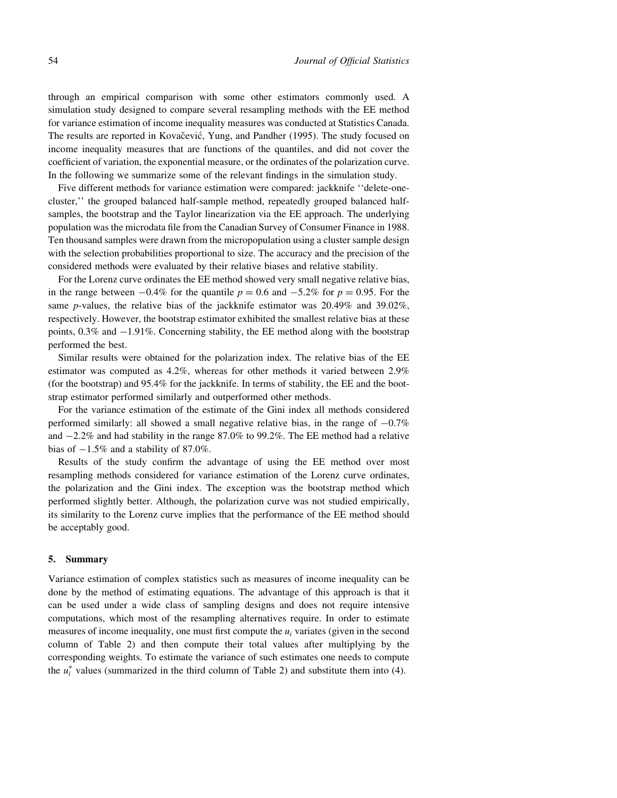through an empirical comparison with some other estimators commonly used. A simulation study designed to compare several resampling methods with the EE method for variance estimation of income inequality measures was conducted at Statistics Canada. The results are reported in Kovačević, Yung, and Pandher (1995). The study focused on income inequality measures that are functions of the quantiles, and did not cover the coefficient of variation, the exponential measure, or the ordinates of the polarization curve. In the following we summarize some of the relevant findings in the simulation study.

Five different methods for variance estimation were compared: jackknife "delete-onecluster,'' the grouped balanced half-sample method, repeatedly grouped balanced halfsamples, the bootstrap and the Taylor linearization via the EE approach. The underlying population was the microdata file from the Canadian Survey of Consumer Finance in 1988. Ten thousand samples were drawn from the micropopulation using a cluster sample design with the selection probabilities proportional to size. The accuracy and the precision of the considered methods were evaluated by their relative biases and relative stability.

For the Lorenz curve ordinates the EE method showed very small negative relative bias, in the range between  $-0.4\%$  for the quantile  $p = 0.6$  and  $-5.2\%$  for  $p = 0.95$ . For the same p-values, the relative bias of the jackknife estimator was 20.49% and 39.02%, respectively. However, the bootstrap estimator exhibited the smallest relative bias at these points,  $0.3\%$  and  $-1.91\%$ . Concerning stability, the EE method along with the bootstrap performed the best.

Similar results were obtained for the polarization index. The relative bias of the EE estimator was computed as 4.2%, whereas for other methods it varied between 2.9% (for the bootstrap) and 95.4% for the jackknife. In terms of stability, the EE and the bootstrap estimator performed similarly and outperformed other methods.

For the variance estimation of the estimate of the Gini index all methods considered performed similarly: all showed a small negative relative bias, in the range of  $-0.7\%$ and  $-2.2\%$  and had stability in the range 87.0% to 99.2%. The EE method had a relative bias of  $-1.5\%$  and a stability of 87.0%.

Results of the study confirm the advantage of using the EE method over most resampling methods considered for variance estimation of the Lorenz curve ordinates, the polarization and the Gini index. The exception was the bootstrap method which performed slightly better. Although, the polarization curve was not studied empirically, its similarity to the Lorenz curve implies that the performance of the EE method should be acceptably good.

#### 5. Summary

Variance estimation of complex statistics such as measures of income inequality can be done by the method of estimating equations. The advantage of this approach is that it can be used under a wide class of sampling designs and does not require intensive computations, which most of the resampling alternatives require. In order to estimate measures of income inequality, one must first compute the  $u_i$  variates (given in the second column of Table 2) and then compute their total values after multiplying by the corresponding weights. To estimate the variance of such estimates one needs to compute the  $u_i^*$  values (summarized in the third column of Table 2) and substitute them into (4).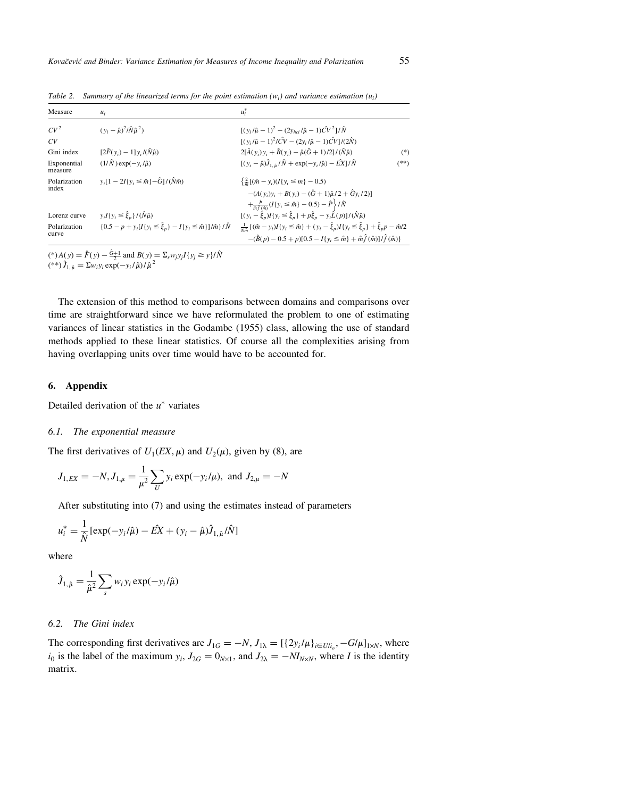| Measure                | $u_i$                                                                              | $u_i^*$                                                                                                                                                                                                                                |
|------------------------|------------------------------------------------------------------------------------|----------------------------------------------------------------------------------------------------------------------------------------------------------------------------------------------------------------------------------------|
| CV <sup>2</sup>        | $(y_i - \hat{\mu})^2 / \hat{N} \hat{\mu}^2$                                        | $[(y_i/\hat{u}-1)^2-(2y_{\text{bol}}/\hat{u}-1)\hat{C}V^2]/\hat{N}]$                                                                                                                                                                   |
| CV                     |                                                                                    | $[(y_i/\hat{\mu} - 1)^2/\hat{CV} - (2y_i/\hat{\mu} - 1)\hat{CV}]/(2\hat{N})$                                                                                                                                                           |
| Gini index             | $[2\hat{F}(y_i)-1]y_i/(\hat{N}\hat{\mu})$                                          | $2[\hat{A}(y_i)y_i + \hat{B}(y_i) - \hat{\mu}(\hat{G} + 1)/2]/(\hat{N}\hat{\mu})$<br>$(*)$                                                                                                                                             |
| Exponential<br>measure | $(1/\hat{N})$ exp $(-v_i/\hat{\mu})$                                               | $[(y_i - \hat{\mu})\hat{J}_{1, \hat{u}}/\hat{N} + \exp(-y_i/\hat{\mu}) - \hat{E}X]/\hat{N}]$<br>$(**)$                                                                                                                                 |
| Polarization<br>index  | $y_i[1-2I\{y_i \leq \hat{m}\}-\hat{G}]/(\hat{N}\hat{m})$                           | $\left\{\frac{2}{n}[(\hat{m} - y_i)(I\{y_i \leq m\} - 0.5)]\right\}$<br>$-(A(v_i)v_i+B(v_i)-(\hat{G}+1)\hat{\mu}/2+\hat{G}v_i/2)$<br>$+\frac{\hat{P}}{\hat{m}\hat{f}(\hat{m})}(I{y_i \leq \hat{m}}) - 0.5) - \hat{P}\hat{f}/\hat{N}$   |
| Lorenz curve           | $y_i I\{y_i \leq \hat{\xi}_n\} / (\hat{N}\hat{\mu})$                               | $[(y_i - \hat{\xi}_n)I\{y_i \leq \hat{\xi}_n\} + p\hat{\xi}_n - y_i\hat{L}(p)]/(\hat{N}\hat{\mu})$                                                                                                                                     |
| Polarization<br>curve  | ${0.5 - p + y_i[I\{y_i \le \hat{\xi}_p\} - I\{y_i \le \hat{m}\}\}\hat{m}}/\hat{N}$ | $\frac{1}{N\hat{m}}\{(\hat{m}-y_i)I\{y_i\leq \hat{m}\} + (y_i - \hat{\xi}_p)I\{y_i\leq \hat{\xi}_p\} + \hat{\xi}_p p - \hat{m}/2$<br>$-(\hat{B}(p) - 0.5 + p)[0.5 - I\{y_i \leq \hat{m}\} + \hat{m}\hat{f}(\hat{m})]/\hat{f}(\hat{m})$ |

Table 2. Summary of the linearized terms for the point estimation  $(w_i)$  and variance estimation  $(u_i)$ 

(\*)  $A(y) = \hat{F}(y) - \frac{\hat{G}+1}{2}$  and  $B(y) = \sum_s w_j y_j I\{y_j \ge y\}/\hat{N}$ <br>(\*\*)  $\hat{J}_{1, \hat{\mu}} = \sum_{w_i y_i} \exp(-y_i/\hat{\mu})/\hat{\mu}^2$ 

The extension of this method to comparisons between domains and comparisons over time are straightforward since we have reformulated the problem to one of estimating variances of linear statistics in the Godambe (1955) class, allowing the use of standard methods applied to these linear statistics. Of course all the complexities arising from having overlapping units over time would have to be accounted for.

#### 6. Appendix

Detailed derivation of the  $u^*$  variates

## 6.1. The exponential measure

The first derivatives of  $U_1(EX, \mu)$  and  $U_2(\mu)$ , given by (8), are

$$
J_{1,EX} = -N, J_{1,\mu} = \frac{1}{\mu^2} \sum_{U} y_i \exp(-y_i/\mu)
$$
, and  $J_{2,\mu} = -N$ 

After substituting into (7) and using the estimates instead of parameters

$$
u_i^* = \frac{1}{\hat{N}} [\exp(-y_i/\hat{\mu}) - \hat{E}X + (y_i - \hat{\mu})\hat{J}_{1,\hat{\mu}}/\hat{N}]
$$

where

$$
\hat{J}_{1,\hat{\mu}} = \frac{1}{\hat{\mu}^2} \sum_{s} w_i y_i \exp(-y_i/\hat{\mu})
$$

# 6.2. The Gini index

The corresponding first derivatives are  $J_{1G} = -N$ ,  $J_{1\lambda} = [\{2y_i/\mu\}_{i \in U/\mu}, -G/\mu]_{1 \times N}$ , where  $i_0$  is the label of the maximum  $y_i$ ,  $J_{2G} = 0_{N \times 1}$ , and  $J_{2\lambda} = -M_{N \times N}$ , where I is the identity matrix.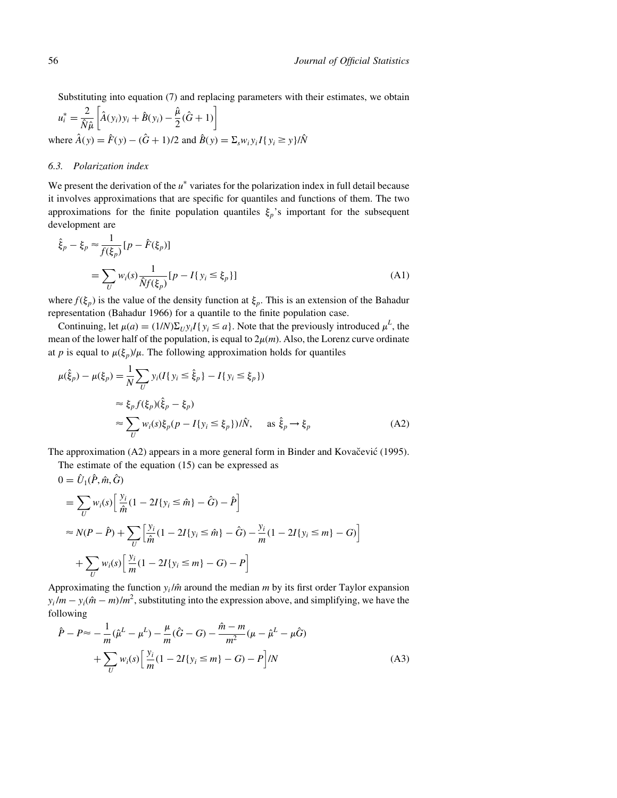Substituting into equation (7) and replacing parameters with their estimates, we obtain

$$
u_i^* = \frac{2}{\hat{N}\hat{\mu}} \left[ \hat{A}(y_i)y_i + \hat{B}(y_i) - \frac{\hat{\mu}}{2}(\hat{G} + 1) \right]
$$
  
where  $\hat{A}(y) = \hat{F}(y) - (\hat{G} + 1)/2$  and  $\hat{B}(y) = \sum_s w_i y_i I\{y_i \ge y\}/\hat{N}$ 

# 6.3. Polarization index

We present the derivation of the  $u^*$  variates for the polarization index in full detail because it involves approximations that are specific for quantiles and functions of them. The two approximations for the finite population quantiles  $\xi_p$ 's important for the subsequent development are

$$
\hat{\xi}_p - \xi_p \approx \frac{1}{f(\xi_p)} [p - \hat{F}(\xi_p)]
$$
\n
$$
= \sum_U w_i(s) \frac{1}{\hat{N}f(\xi_p)} [p - I\{y_i \le \xi_p\}]
$$
\n(A1)

where  $f(\xi_p)$  is the value of the density function at  $\xi_p$ . This is an extension of the Bahadur representation (Bahadur 1966) for a quantile to the finite population case.

Continuing, let  $\mu(a) = (1/N)\Sigma_U y_i I\{y_i \le a\}$ . Note that the previously introduced  $\mu^L$ , the mean of the lower half of the population, is equal to  $2\mu(m)$ . Also, the Lorenz curve ordinate at p is equal to  $\mu(\xi_p)/\mu$ . The following approximation holds for quantiles

$$
\mu(\hat{\xi}_p) - \mu(\xi_p) = \frac{1}{N} \sum_{U} y_i (I\{y_i \le \hat{\xi}_p\} - I\{y_i \le \xi_p\})
$$
  

$$
\approx \xi_p f(\xi_p)(\hat{\xi}_p - \xi_p)
$$
  

$$
\approx \sum_{U} w_i(s) \xi_p (p - I\{y_i \le \xi_p\}) / \hat{N}, \quad \text{as } \hat{\xi}_p \to \xi_p \tag{A2}
$$

The approximation  $(A2)$  appears in a more general form in Binder and Kovac̆evic $(1995)$ .

The estimate of the equation (15) can be expressed as

$$
0 = \hat{U}_{1}(\hat{P}, \hat{m}, \hat{G})
$$
  
=  $\sum_{U} w_{i}(s) \left[ \frac{y_{i}}{\hat{m}} (1 - 2I\{y_{i} \le \hat{m}\} - \hat{G}) - \hat{P} \right]$   

$$
\approx N(P - \hat{P}) + \sum_{U} \left[ \frac{y_{i}}{\hat{m}} (1 - 2I\{y_{i} \le \hat{m}\} - \hat{G}) - \frac{y_{i}}{m} (1 - 2I\{y_{i} \le m\} - G) \right]
$$
  
+  $\sum_{U} w_{i}(s) \left[ \frac{y_{i}}{m} (1 - 2I\{y_{i} \le m\} - G) - P \right]$ 

Approximating the function  $y_i / \hat{m}$  around the median m by its first order Taylor expansion  $y_i/m - y_i(\hat{m} - m)/m^2$ , substituting into the expression above, and simplifying, we have the following

$$
\hat{P} - P \approx -\frac{1}{m}(\hat{\mu}^L - \mu^L) - \frac{\mu}{m}(\hat{G} - G) - \frac{\hat{m} - m}{m^2}(\mu - \hat{\mu}^L - \mu\hat{G})
$$

$$
+ \sum_{U} w_i(s) \left[ \frac{y_i}{m} (1 - 2I\{y_i \le m\} - G) - P \right] / N \tag{A3}
$$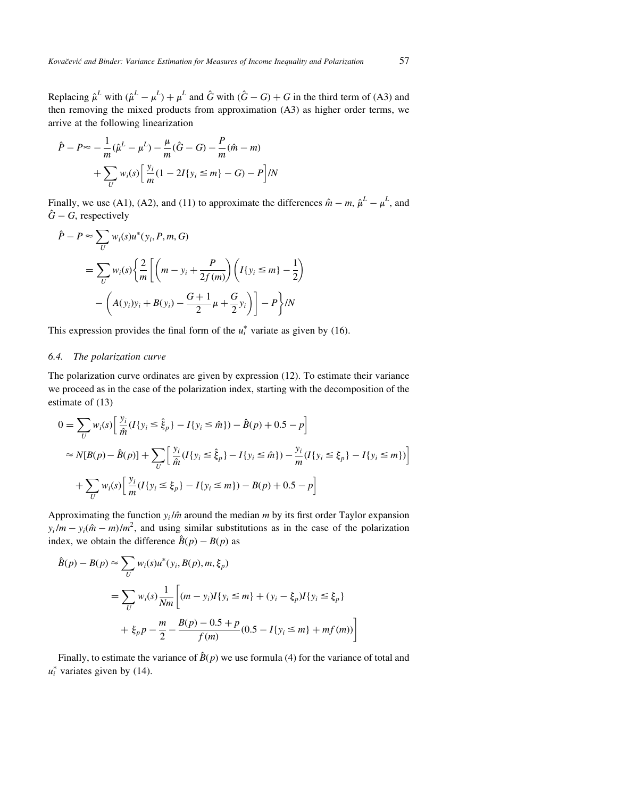Replacing  $\hat{\mu}^L$  with  $(\hat{\mu}^L - \mu^L) + \mu^L$  and  $\hat{G}$  with  $(\hat{G} - G) + G$  in the third term of (A3) and then removing the mixed products from approximation (A3) as higher order terms, we arrive at the following linearization

$$
\hat{P} - P \approx -\frac{1}{m}(\hat{\mu}^L - \mu^L) - \frac{\mu}{m}(\hat{G} - G) - \frac{P}{m}(\hat{m} - m) \n+ \sum_{U} w_i(s) \left[ \frac{y_i}{m} (1 - 2I\{y_i \le m\} - G) - P \right] / N
$$

Finally, we use (A1), (A2), and (11) to approximate the differences  $\hat{m} - m$ ,  $\hat{\mu}^L - \mu^L$ , and  $\hat{G}$  – G, respectively

$$
\hat{P} - P \approx \sum_{U} w_i(s) u^*(y_i, P, m, G)
$$
  
=  $\sum_{U} w_i(s) \left\{ \frac{2}{m} \left[ \left( m - y_i + \frac{P}{2f(m)} \right) \left( I\{y_i \le m\} - \frac{1}{2} \right) - \left( A(y_i)y_i + B(y_i) - \frac{G+1}{2}\mu + \frac{G}{2}y_i \right) \right] - P \right\} / N$ 

This expression provides the final form of the  $u_i^*$  variate as given by (16).

# 6.4. The polarization curve

The polarization curve ordinates are given by expression (12). To estimate their variance we proceed as in the case of the polarization index, starting with the decomposition of the estimate of (13)

$$
0 = \sum_{U} w_i(s) \left[ \frac{y_i}{\hat{m}} (I\{y_i \le \hat{\xi}_p\} - I\{y_i \le \hat{m}\}) - \hat{B}(p) + 0.5 - p \right]
$$
  
\n
$$
\approx N[B(p) - \hat{B}(p)] + \sum_{U} \left[ \frac{y_i}{\hat{m}} (I\{y_i \le \hat{\xi}_p\} - I\{y_i \le \hat{m}\}) - \frac{y_i}{m} (I\{y_i \le \xi_p\} - I\{y_i \le m\}) \right]
$$
  
\n
$$
+ \sum_{U} w_i(s) \left[ \frac{y_i}{m} (I\{y_i \le \xi_p\} - I\{y_i \le m\}) - B(p) + 0.5 - p \right]
$$

Approximating the function  $y_i / \hat{m}$  around the median m by its first order Taylor expansion  $y_i/m - y_i(\hat{m} - m)/m^2$ , and using similar substitutions as in the case of the polarization index, we obtain the difference  $\hat{B}(p) - B(p)$  as

$$
\hat{B}(p) - B(p) \approx \sum_{U} w_i(s) u^*(y_i, B(p), m, \xi_p)
$$
  
= 
$$
\sum_{U} w_i(s) \frac{1}{Nm} \left[ (m - y_i) I\{y_i \le m\} + (y_i - \xi_p) I\{y_i \le \xi_p\} + \xi_p p - \frac{m}{2} - \frac{B(p) - 0.5 + p}{f(m)} (0.5 - I\{y_i \le m\} + mf(m)) \right]
$$

Finally, to estimate the variance of  $\hat{B}(p)$  we use formula (4) for the variance of total and  $u_i^*$  variates given by (14).